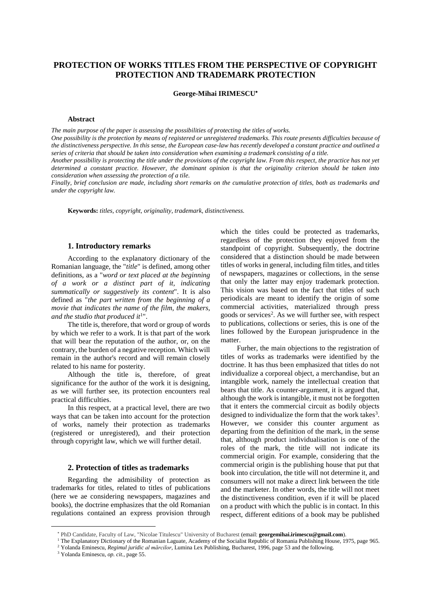# **PROTECTION OF WORKS TITLES FROM THE PERSPECTIVE OF COPYRIGHT PROTECTION AND TRADEMARK PROTECTION**

**George-Mihai IRIMESCU**

#### **Abstract**

*The main purpose of the paper is assessing the possibilities of protecting the titles of works.* 

*One possibility is the protection by means of registered or unregistered trademarks. This route presents difficulties because of the distinctiveness perspective. In this sense, the European case-law has recently developed a constant practice and outlined a series of criteria that should be taken into consideration when examining a trademark consisting of a title.* 

*Another possibility is protecting the title under the provisions of the copyright law. From this respect, the practice has not yet determined a constant practice. However, the dominant opinion is that the originality criterion should be taken into consideration when assessing the protection of a tile.* 

*Finally, brief conclusion are made, including short remarks on the cumulative protection of titles, both as trademarks and under the copyright law.* 

**Keywords:** *titles, copyright, originality, trademark, distinctiveness.* 

## **1. Introductory remarks**

According to the explanatory dictionary of the Romanian language, the "*title*" is defined, among other definitions, as a "*word or text placed at the beginning of a work or a distinct part of it, indicating summatically or suggestively its content*". It is also defined as "*the part written from the beginning of a movie that indicates the name of the film, the makers, and the studio that produced it*<sup>1</sup> ".

The title is, therefore, that word or group of words by which we refer to a work. It is that part of the work that will bear the reputation of the author, or, on the contrary, the burden of a negative reception. Which will remain in the author's record and will remain closely related to his name for posterity.

Although the title is, therefore, of great significance for the author of the work it is designing, as we will further see, its protection encounters real practical difficulties.

In this respect, at a practical level, there are two ways that can be taken into account for the protection of works, namely their protection as trademarks (registered or unregistered), and their protection through copyright law, which we will further detail.

#### **2. Protection of titles as trademarks**

Regarding the admisibility of protection as trademarks for titles, related to titles of publications (here we ae considering newspapers, magazines and books), the doctrine emphasizes that the old Romanian regulations contained an express provision through which the titles could be protected as trademarks, regardless of the protection they enjoyed from the standpoint of copyright. Subsequently, the doctrine considered that a distinction should be made between titles of works in general, including film titles, and titles of newspapers, magazines or collections, in the sense that only the latter may enjoy trademark protection. This vision was based on the fact that titles of such periodicals are meant to identify the origin of some commercial activities, materialized through press goods or services<sup>2</sup>. As we will further see, with respect to publications, collections or series, this is one of the lines followed by the European jurisprudence in the matter.

Furher, the main objections to the registration of titles of works as trademarks were identified by the doctrine. It has thus been emphasized that titles do not individualize a corporeal object, a merchandise, but an intangible work, namely the intellectual creation that bears that title. As counter-argument, it is argued that, although the work is intangible, it must not be forgotten that it enters the commercial circuit as bodily objects designed to individualize the form that the work takes $3$ . However, we consider this counter argument as departing from the definition of the mark, in the sense that, although product individualisation is one of the roles of the mark, the title will not indicate its commercial origin. For example, considering that the commercial origin is the publishing house that put that book into circulation, the title will not determine it, and consumers will not make a direct link between the title and the marketer. In other words, the title will not meet the distinctiveness condition, even if it will be placed on a product with which the public is in contact. In this respect, different editions of a book may be published

<sup>1</sup> The Explanatory Dictionary of the Romanian Laguate, Academy of the Socialist Republic of Romania Publishing House, 1975, page 965.

PhD Candidate, Faculty of Law, "Nicolae Titulescu" University of Bucharest (email: **georgemihai.irimescu@gmail.com**).

<sup>2</sup> Yolanda Eminescu, *Regimul juridic al mărcilor*, Lumina Lex Publishing, Bucharest, 1996, page 53 and the following. 3 Yolanda Eminescu, *op. cit.*, page 55.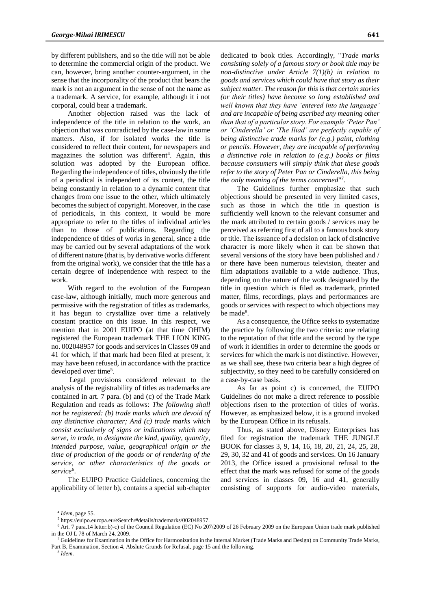by different publishers, and so the title will not be able to determine the commercial origin of the product. We can, however, bring another counter-argument, in the sense that the incorporality of the product that bears the mark is not an argument in the sense of not the name as a trademark. A service, for example, although it i not corporal, could bear a trademark.

Another objection raised was the lack of independence of the title in relation to the work, an objection that was contradicted by the case-law in some matters. Also, if for isolated works the title is considered to reflect their content, for newspapers and magazines the solution was different<sup>4</sup>. Again, this solution was adopted by the European office. Regarding the independence of titles, obviously the title of a periodical is independent of its content, the title being constantly in relation to a dynamic content that changes from one issue to the other, which ultimately becomes the subject of copyright. Moreover, in the case of periodicals, in this context, it would be more appropriate to refer to the titles of individual articles than to those of publications. Regarding the independence of titles of works in general, since a title may be carried out by several adaptations of the work of different nature (that is, by derivative works different from the original work), we consider that the title has a certain degree of independence with respect to the work.

With regard to the evolution of the European case-law, although initially, much more generous and permissive with the registration of titles as trademarks, it has begun to crystallize over time a relatively constant practice on this issue. In this respect, we mention that in 2001 EUIPO (at that time OHIM) registered the European trademark THE LION KING no. 002048957 for goods and services in Classes 09 and 41 for which, if that mark had been filed at present, it may have been refused, in accordance with the practice developed over time<sup>5</sup>.

Legal provisions considered relevant to the analysis of the registrability of titles as trademarks are contained in art. 7 para. (b) and (c) of the Trade Mark Regulation and reads as follows: *The following shall not be registered: (b) trade marks which are devoid of any distinctive character; And (c) trade marks which consist exclusively of signs or indications which may serve, in trade, to designate the kind, quality, quantity, intended purpose, value, geographical origin or the time of production of the goods or of rendering of the service, or other characteristics of the goods or service*<sup>6</sup> .

The EUIPO Practice Guidelines, concerning the applicability of letter b), contains a special sub-chapter dedicated to book titles. Accordingly, "*Trade marks consisting solely of a famous story or book title may be non-distinctive under Article 7(1)(b) in relation to goods and services which could have that story as their subject matter. The reason for this is that certain stories (or their titles) have become so long established and well known that they have 'entered into the language' and are incapable of being ascribed any meaning other than that of a particular story. For example 'Peter Pan' or 'Cinderella' or 'The Iliad' are perfectly capable of being distinctive trade marks for (e.g.) paint, clothing or pencils. However, they are incapable of performing a distinctive role in relation to (e.g.) books or films because consumers will simply think that these goods refer to the story of Peter Pan or Cinderella, this being*  the only meaning of the terms concerned"<sup>7</sup>.

The Guidelines further emphasize that such objections should be presented in very limited cases, such as those in which the title in question is sufficiently well known to the relevant consumer and the mark attributed to certain goods / services may be perceived as referring first of all to a famous book story or title. The issuance of a decision on lack of distinctive character is more likely when it can be shown that several versions of the story have been published and / or there have been numerous television, theater and film adaptations available to a wide audience. Thus, depending on the nature of the wotk designated by the title in question which is filed as trademark, printed matter, films, recordings, plays and performances are goods or services with respect to which objections may be made<sup>8</sup>.

As a consequence, the Office seeks to systematize the practice by following the two criteria: one relating to the reputation of that title and the second by the type of work it identifies in order to determine the goods or services for which the mark is not distinctive. However, as we shall see, these two criteria bear a high degree of subjectivity, so they need to be carefully considered on a case-by-case basis.

As far as point c) is concerned, the EUIPO Guidelines do not make a direct reference to possible objections risen to the protection of titles of works. However, as emphasized below, it is a ground invoked by the European Office in its refusals.

Thus, as stated above, Disney Enterprises has filed for registration the trademark THE JUNGLE BOOK for classes 3, 9, 14, 16, 18, 20, 21, 24, 25, 28, 29, 30, 32 and 41 of goods and services. On 16 January 2013, the Office issued a provisional refusal to the effect that the mark was refused for some of the goods and services in classes 09, 16 and 41, generally consisting of supports for audio-video materials,

<sup>4</sup> *Idem*, page 55.

<sup>5</sup> https://euipo.europa.eu/eSearch/#details/trademarks/002048957.

<sup>&</sup>lt;sup>6</sup> Art. 7 para.14 letter.b)-c) of the Council Regulation (EC) No 207/2009 of 26 February 2009 on the European Union trade mark published in the OJ L 78 of March 24, 2009.

<sup>7</sup> Guidelines for Examination in the Office for Harmonization in the Internal Market (Trade Marks and Design) on Community Trade Marks, Part B, Examination, Section 4, Abslute Grunds for Refusal, page 15 and the following.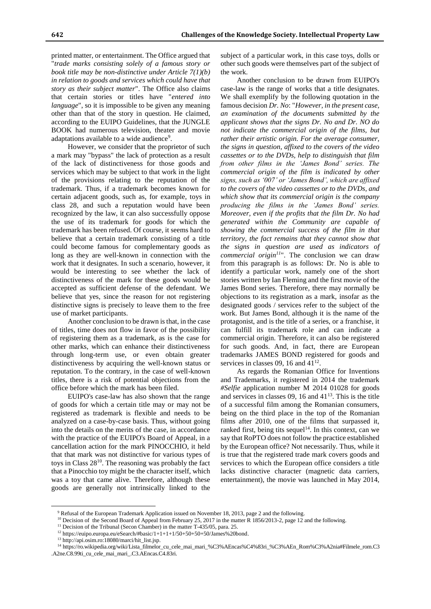printed matter, or entertainment. The Office argued that "*trade marks consisting solely of a famous story or book title may be non-distinctive under Article 7(1)(b) in relation to goods and services which could have that story as their subject matter*". The Office also claims that certain stories or titles have "*entered into language*", so it is impossible to be given any meaning other than that of the story in question. He claimed, according to the EUIPO Guidelines, that the JUNGLE BOOK had numerous television, theater and movie adaptations available to a wide audience<sup>9</sup>.

However, we consider that the proprietor of such a mark may "bypass" the lack of protection as a result of the lack of distinctiveness for those goods and services which may be subject to that work in the light of the provisions relating to the reputation of the trademark. Thus, if a trademark becomes known for certain adjacent goods, such as, for example, toys in class 28, and such a reputation would have been recognized by the law, it can also successfully oppose the use of its trademark for goods for which the trademark has been refused. Of course, it seems hard to believe that a certain trademark consisting of a title could become famous for complementary goods as long as they are well-known in connection with the work that it designates. In such a scenario, however, it would be interesting to see whether the lack of distinctiveness of the mark for these goods would be accepted as sufficient defense of the defendant. We believe that yes, since the reason for not registering distinctive signs is precisely to leave them to the free use of market participants.

Another conclusion to be drawn is that, in the case of titles, time does not flow in favor of the possibility of registering them as a trademark, as is the case for other marks, which can enhance their distinctiveness through long-term use, or even obtain greater distinctiveness by acquiring the well-known status or reputation. To the contrary, in the case of well-known titles, there is a risk of potential objections from the office before which the mark has been filed.

EUIPO's case-law has also shown that the range of goods for which a certain title may or may not be registered as trademark is flexible and needs to be analyzed on a case-by-case basis. Thus, without going into the details on the merits of the case, in accordance with the practice of the EUIPO's Board of Appeal, in a cancellation action for the mark PINOCCHIO, it held that that mark was not distinctive for various types of toys in Class 28<sup>10</sup>. The reasoning was probably the fact that a Pinocchio toy might be the character itself, which was a toy that came alive. Therefore, although these goods are generally not intrinsically linked to the subject of a particular work, in this case toys, dolls or other such goods were themselves part of the subject of the work.

Another conclusion to be drawn from EUIPO's case-law is the range of works that a title designates. We shall exemplify by the following quotation in the famous decision *Dr. No*: "*However, in the present case, an examination of the documents submitted by the applicant shows that the signs Dr. No and Dr. NO do not indicate the commercial origin of the films, but rather their artistic origin. For the average consumer, the signs in question, affixed to the covers of the video cassettes or to the DVDs, help to distinguish that film from other films in the 'James Bond' series. The commercial origin of the film is indicated by other signs, such as '007' or 'James Bond', which are affixed to the covers of the video cassettes or to the DVDs, and which show that its commercial origin is the company producing the films in the 'James Bond' series. Moreover, even if the profits that the film Dr. No had generated within the Community are capable of showing the commercial success of the film in that territory, the fact remains that they cannot show that the signs in question are used as indicators of commercial origin<sup>11</sup>*". The conclusion we can draw from this paragraph is as follows: Dr. No is able to identify a particular work, namely one of the short stories written by Ian Fleming and the first movie of the James Bond series. Therefore, there may normally be objections to its registration as a mark, insofar as the designated goods / services refer to the subject of the work. But James Bond, although it is the name of the protagonist, and is the title of a series, or a franchise, it can fulfill its trademark role and can indicate a commercial origin. Therefore, it can also be registered for such goods. And, in fact, there are European trademarks JAMES BOND registered for goods and services in classes 09, 16 and  $41^{12}$ .

As regards the Romanian Office for Inventions and Trademarks, it registered in 2014 the trademark *#Selfie* application number M 2014 01028 for goods and services in classes 09, 16 and  $41^{13}$ . This is the title of a successful film among the Romanian consumers, being on the third place in the top of the Romanian films after 2010, one of the films that surpassed it, ranked first, being tits sequel<sup>14</sup>. In this context, can we say that RoPTO does not follow the practice established by the European office? Not necessarily. Thus, while it is true that the registered trade mark covers goods and services to which the European office considers a title lacks distinctive character (magnetic data carriers, entertainment), the movie was launched in May 2014,

<sup>9</sup> Refusal of the European Trademark Application issued on November 18, 2013, page 2 and the following.

<sup>&</sup>lt;sup>10</sup> Decision of the Second Board of Appeal from February 25, 2017 in the matter R 1856/2013-2, page 12 and the following.

<sup>&</sup>lt;sup>11</sup> Decision of the Tribunal (Secon Chamber) in the matter T-435/05, para. 25.

<sup>12</sup> https://euipo.europa.eu/eSearch/#basic/1+1+1+1/50+50+50+50/James%20bond.

<sup>13</sup> http://api.osim.ro:18080/marci/hit\_list.jsp.

<sup>14</sup> https://ro.wikipedia.org/wiki/Lista\_filmelor\_cu\_cele\_mai\_mari\_%C3%AEncas%C4%83ri\_%C3%AEn\_Rom%C3%A2nia#Filmele\_rom.C3 .A2ne.C8.99ti\_cu\_cele\_mai\_mari\_.C3.AEncas.C4.83ri.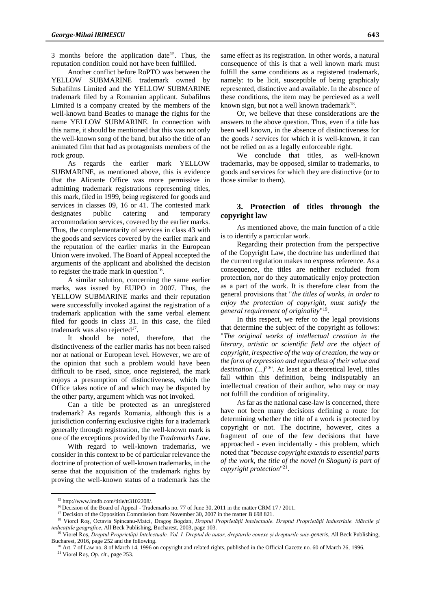3 months before the application date<sup>15</sup>. Thus, the reputation condition could not have been fulfilled.

Another conflict before RoPTO was between the YELLOW SUBMARINE trademark owned by Subafilms Limited and the YELLOW SUBMARINE trademark filed by a Romanian applicant. Subafilms Limited is a company created by the members of the well-known band Beatles to manage the rights for the name YELLOW SUBMARINE. In connection with this name, it should be mentioned that this was not only the well-known song of the band, but also the title of an animated film that had as protagonists members of the rock group.

As regards the earlier mark YELLOW SUBMARINE, as mentioned above, this is evidence that the Alicante Office was more permissive in admitting trademark registrations representing titles, this mark, filed in 1999, being registered for goods and services in classes 09, 16 or 41. The contested mark designates public catering and temporary accommodation services, covered by the earlier marks. Thus, the complementarity of services in class 43 with the goods and services covered by the earlier mark and the reputation of the earlier marks in the European Union were invoked. The Board of Appeal accepted the arguments of the applicant and abolished the decision to register the trade mark in question $16$ .

A similar solution, concerning the same earlier marks, was issued by EUIPO in 2007. Thus, the YELLOW SUBMARINE marks and their reputation were successfully invoked against the registration of a trademark application with the same verbal element filed for goods in class 31. In this case, the filed trademark was also rejected<sup>17</sup>.

It should be noted, therefore, that the distinctiveness of the earlier marks has not been raised nor at national or European level. However, we are of the opinion that such a problem would have been difficult to be rised, since, once registered, the mark enjoys a presumption of distinctiveness, which the Office takes notice of and which may be disputed by the other party, argument which was not invoked.

Can a title be protected as an unregistered trademark? As regards Romania, although this is a jurisdiction conferring exclusive rights for a trademark generally through registration, the well-known mark is one of the exceptions provided by the *Trademarks Law*.

With regard to well-known trademarks, we consider in this context to be of particular relevance the doctrine of protection of well-known trademarks, in the sense that the acquisition of the trademark rights by proving the well-known status of a trademark has the

same effect as its registration. In other words, a natural consequence of this is that a well known mark must fulfill the same conditions as a registered trademark, namely: to be licit, susceptible of being graphicaly represented, distinctive and available. In the absence of these conditions, the item may be percieved as a well known sign, but not a well known trademark<sup>18</sup>.

Or, we believe that these considerations are the answers to the above question. Thus, even if a title has been well known, in the absence of distinctiveness for the goods / services for which it is well-known, it can not be relied on as a legally enforceable right.

We conclude that titles, as well-known trademarks, may be opposed, similar to trademarks, to goods and services for which they are distinctive (or to those similar to them).

# **3. Protection of titles throuogh the copyright law**

As mentioned above, the main function of a title is to identify a particular work.

Regarding their protection from the perspective of the Copyright Law, the doctrine has underlined that the current regulation makes no express reference. As a consequence, the titles are neither excluded from protection, nor do they automatically enjoy protection as a part of the work. It is therefore clear from the general provisions that "*the titles of works, in order to enjoy the protection of copyright, must satisfy the general requirement of originality*" 19 .

In this respect, we refer to the legal provisions that determine the subject of the copyright as follows: "*The original works of intellectual creation in the literary, artistic or scientific field are the object of copyright, irespective of the way of creation, the way or the form of expression and regardless of their value and destination (...)*<sup>20</sup>". At least at a theoretical level, titles fall within this definition, being indisputably an intellectual creation of their author, who may or may not fulfill the condition of originality.

As far as the national case-law is concerned, there have not been many decisions defining a route for determining whether the title of a work is protected by copyright or not. The doctrine, however, cites a fragment of one of the few decisions that have approached - even incidentally - this problem, which noted that "*because copyright extends to essential parts of the work, the title of the novel (n Shogun) is part of copyright protection*" 21 .

 $\overline{a}$ 

<sup>15</sup> http://www.imdb.com/title/tt3102208/.

<sup>&</sup>lt;sup>16</sup> Decision of the Board of Appeal - Trademarks no. 77 of June 30, 2011 in the matter CRM 17/2011.

<sup>&</sup>lt;sup>17</sup> Decision of the Opposition Commission from November 30, 2007 in the matter B 698 821.

<sup>18</sup> Viorel Roș, Octavia Spineanu-Matei, Dragoș Bogdan, *Dreptul Proprietății Intelectuale. Dreptul Proprietății Industriale. Mărcile și indicațiile geografice*, All Beck Publishing, Bucharest, 2003, page 103.

<sup>&</sup>lt;sup>19</sup> Viorel Roș, *Dreptul Proprietății Intelectuale. Vol. I. Dreptul de autor, drepturile conexe și drepturile suis-generis, All Beck Publishing,* Bucharest, 2016, page 252 and the following.

 $20$  Art. 7 of Law no. 8 of March 14, 1996 on copyright and related rights, published in the Official Gazette no. 60 of March 26, 1996.

<sup>21</sup> Viorel Roș, *Op. cit.*, page 253.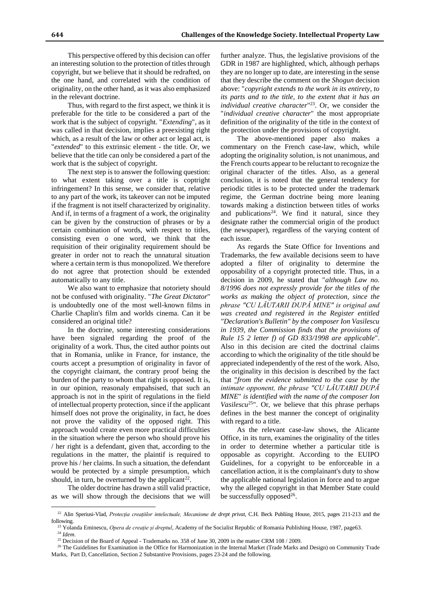This perspective offered by this decision can offer an interesting solution to the protection of titles through copyright, but we believe that it should be redrafted, on the one hand, and correlated with the condition of originality, on the other hand, as it was also emphasized in the relevant doctrine.

Thus, with regard to the first aspect, we think it is preferable for the title to be considered a part of the work that is the subject of copyright. "*Extending*", as it was called in that decision, implies a preexisting right which, as a result of the law or other act or legal act, is "*extended*" to this extrinsic element - the title. Or, we believe that the title can only be considered a part of the work that is the subject of copyright.

The next step is to answer the following question: to what extent taking over a title is coptright infringement? In this sense, we consider that, relative to any part of the work, its takeover can not be imputed if the fragment is not itself characterized by originality. And if, in terms of a fragment of a work, the originality can be given by the construction of phrases or by a certain combination of words, with respect to titles, consisting even o one word, we think that the requisition of their originality requirement should be greater in order not to reach the unnatural situation where a certain term is thus monopolized. We therefore do not agree that protection should be extended automatically to any title.

We also want to emphasize that notoriety should not be confused with originality. "*The Great Dictator*" is undoubtedly one of the most well-known films in Charlie Chaplin's film and worlds cinema. Can it be considered an original title?

In the doctrine, some interesting considerations have been signaled regarding the proof of the originality of a work. Thus, the cited author points out that in Romania, unlike in France, for instance, the courts accept a presumption of originality in favor of the copyright claimant, the contrary proof being the burden of the party to whom that right is opposed. It is, in our opinion, reasonaly empahsised, that such an approach is not in the spirit of regulations in the field of intellectual property protection, since if the applicant himself does not prove the originality, in fact, he does not prove the validity of the opposed right. This approach would create even more practical difficulties in the situation where the person who should prove his / her right is a defendant, given that, according to the regulations in the matter, the plaintif is required to prove his / her claims. In such a situation, the defendant would be protected by a simple presumption, which should, in turn, be overturned by the applicant<sup>22</sup>.

The older doctrine has drawn a still valid practice, as we will show through the decisions that we will

 $\overline{a}$ 

further analyze. Thus, the legislative provisions of the GDR in 1987 are highlighted, which, although perhaps they are no longer up to date, are interesting in the sense that they describe the comment on the *Shogun* decision above: "*copyright extends to the work in its entirety, to its parts and to the title, to the extent that it has an individual creative character*" 23 . Or, we consider the "*individual creative character*" the most appropriate definition of the originality of the title in the context of the protection under the provisions of copyright.

The above-mentioned paper also makes a commentary on the French case-law, which, while adopting the originality solution, is not unanimous, and the French courts appear to be reluctant to recognize the original character of the titles. Also, as a general conclusion, it is noted that the general tendency for periodic titles is to be protected under the trademark regime, the German doctrine being more leaning towards making a distinction between titles of works and publications<sup>24</sup>. We find it natural, since they designate rather the commercial origin of the product (the newspaper), regardless of the varying content of each issue.

As regards the State Office for Inventions and Trademarks, the few available decisions seem to have adopted a filter of originality to determine the opposability of a copyright protected title. Thus, in a decision in 2009, he stated that "*although Law no. 8/1996 does not expressly provide for the titles of the works as making the object of protection, since the phrase "CU LĂUTARII DUPĂ MINE" is original and was created and registered in the Register entitled "Declaration's Bulletin" by the composer Ion Vasilescu in 1939, the Commission finds that the provisions of Rule 15 2 letter f) of GD 833/1998 are applicable*". Also in this decision are cited the doctrinal claims according to which the originality of the title should be appreciated independently of the rest of the work. Also, the originality in this decision is described by the fact that "*from the evidence submitted to the case by the intimate opponent, the phrase "CU LĂUTARII DUPĂ MINE*" *is identified with the name of the composer Ion Vasilescu*<sup>25</sup>". Or, we believe that this phrase perhaps defines in the best manner the concept of originality with regard to a title.

As the relevant case-law shows, the Alicante Office, in its turn, examines the originality of the titles in order to determine whether a particular title is opposable as copyright. According to the EUIPO Guidelines, for a copyright to be enforceable in a cancellation action, it is the complainant's duty to show the applicable national legislation in force and to argue why the alleged copyright in that Member State could be successfully opposed<sup>26</sup>.

<sup>&</sup>lt;sup>22</sup> Alin Speriusi-Vlad, Protecția creațiilor intelectuale, Mecanisme de drept privat, C.H. Beck Publiing House, 2015, pages 211-213 and the following.

<sup>23</sup> Yolanda Eminescu, *Opera de creație și dreptul*, Academy of the Socialist Republic of Romania Publishing House, 1987, page63. <sup>24</sup> *Idem*.

<sup>&</sup>lt;sup>25</sup> Decision of the Board of Appeal - Trademarks no. 358 of June 30, 2009 in the matter CRM 108 / 2009.

<sup>&</sup>lt;sup>26</sup> The Guidelines for Examination in the Office for Harmonization in the Internal Market (Trade Marks and Design) on Community Trade Marks, Part D, Cancellation, Section 2 Substantive Provisions, pages 23-24 and the following.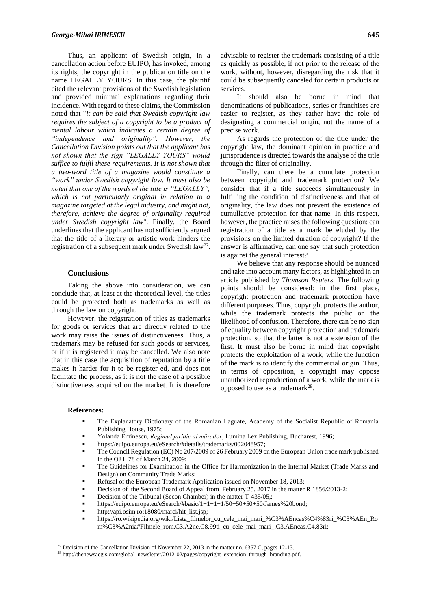Thus, an applicant of Swedish origin, in a cancellation action before EUIPO, has invoked, among its rights, the copyright in the publication title on the name LEGALLY YOURS. In this case, the plaintif cited the relevant provisions of the Swedish legislation and provided minimal explanations regarding their incidence. With regard to these claims, the Commission noted that "*it can be said that Swedish copyright law requires the subject of a copyright to be a product of mental labour which indicates a certain degree of "independence and originality". However, the Cancellation Division points out that the applicant has not shown that the sign "LEGALLY YOURS" would suffice to fulfil these requirements. It is not shown that a two-word title of a magazine would constitute a "work" under Swedish copyright law. It must also be noted that one of the words of the title is "LEGALLY", which is not particularly original in relation to a magazine targeted at the legal industry, and might not, therefore, achieve the degree of originality required under Swedish copyright law*". Finally, the Board underlines that the applicant has not sufficiently argued that the title of a literary or artistic work hinders the registration of a subsequent mark under Swedish law<sup>27</sup>.

## **Conclusions**

Taking the above into consideration, we can conclude that, at least at the theoretical level, the titles could be protected both as trademarks as well as through the law on copyright.

However, the reigstration of titles as trademarks for goods or services that are directly related to the work may raise the issues of distinctiveness. Thus, a trademark may be refused for such goods or services, or if it is registered it may be cancelled. We also note that in this case the acquisition of reputation by a title makes it harder for it to be register ed, and does not facilitate the process, as it is not the case of a possible distinctiveness acquired on the market. It is therefore advisable to register the trademark consisting of a title as quickly as possible, if not prior to the release of the work, without, however, disregarding the risk that it could be subsequently canceled for certain products or services.

It should also be borne in mind that denominations of publications, series or franchises are easier to register, as they rather have the role of designating a commercial origin, not the name of a precise work.

As regards the protection of the title under the copyright law, the dominant opinion in practice and jurisprudence is directed towards the analyse of the title through the filter of originality.

Finally, can there be a cumulate protection between copyright and trademark protection? We consider that if a title succeeds simultaneously in fulfilling the condition of distinctiveness and that of originality, the law does not prevent the existence of cumullative protection for that name. In this respect, however, the practice raises the following question: can registration of a title as a mark be eluded by the provisions on the limited duration of copyright? If the answer is affirmative, can one say that such protection is against the general interest?

We believe that any response should be nuanced and take into account many factors, as highlighted in an article published by *Thomson Reuters*. The following points should be considered: in the first place, copyright protection and trademark protection have different purposes. Thus, copyright protects the author, while the trademark protects the public on the likelihood of confusion. Therefore, there can be no sign of equality between copyright protection and trademark protection, so that the latter is not a extension of the first. It must also be borne in mind that copyright protects the exploitation of a work, while the function of the mark is to identify the commercial origin. Thus, in terms of opposition, a copyright may oppose unauthorized reproduction of a work, while the mark is opposed to use as a trademark<sup>28</sup>.

#### **References:**

 $\overline{a}$ 

- The Explanatory Dictionary of the Romanian Laguate, Academy of the Socialist Republic of Romania Publishing House, 1975;
- Yolanda Eminescu, *Regimul juridic al mărcilor*, Lumina Lex Publishing, Bucharest, 1996;
- https://euipo.europa.eu/eSearch/#details/trademarks/002048957;
- The Council Regulation (EC) No 207/2009 of 26 February 2009 on the European Union trade mark published in the OJ L 78 of March 24, 2009;
- The Guidelines for Examination in the Office for Harmonization in the Internal Market (Trade Marks and Design) on Community Trade Marks;
- Refusal of the European Trademark Application issued on November 18, 2013;
- Decision of the Second Board of Appeal from February 25, 2017 in the matter R 1856/2013-2;
- Decision of the Tribunal (Secon Chamber) in the matter T-435/05,;
- https://euipo.europa.eu/eSearch/#basic/1+1+1+1/50+50+50+50/James%20bond;
- http://api.osim.ro:18080/marci/hit\_list.jsp;
- https://ro.wikipedia.org/wiki/Lista\_filmelor\_cu\_cele\_mai\_mari\_%C3%AEncas%C4%83ri\_%C3%AEn\_Ro m%C3%A2nia#Filmele\_rom.C3.A2ne.C8.99ti\_cu\_cele\_mai\_mari\_.C3.AEncas.C4.83ri;

<sup>&</sup>lt;sup>27</sup> Decision of the Cancellation Division of November 22, 2013 in the matter no. 6357 C, pages 12-13.

<sup>28</sup> http://thenewsaegis.com/global\_newsletter/2012-02/pages/copyright\_extension\_through\_branding.pdf.